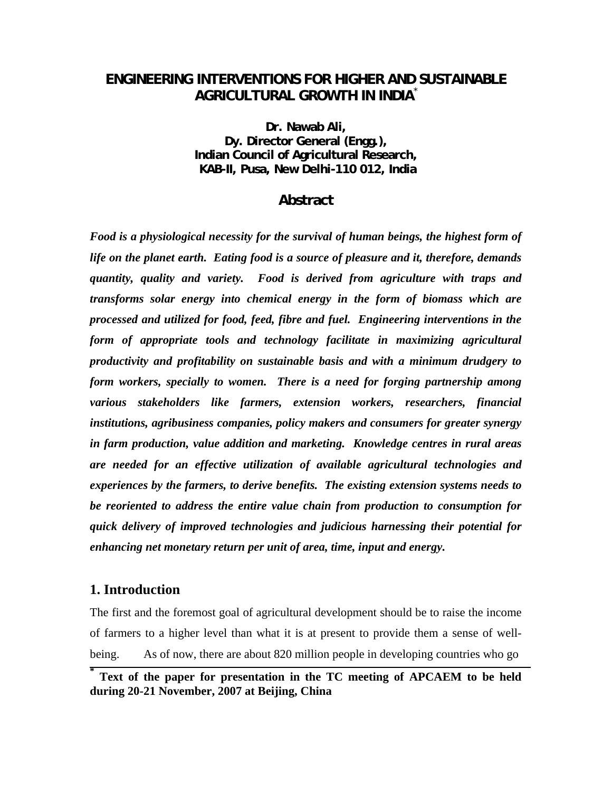# **ENGINEERING INTERVENTIONS FOR HIGHER AND SUSTAINABLE AGRICULTURAL GROWTH IN INDIA**\*

**Dr. Nawab Ali, Dy. Director General (Engg.), Indian Council of Agricultural Research, KAB-II, Pusa, New Delhi-110 012, India**

# **Abstract**

*Food is a physiological necessity for the survival of human beings, the highest form of life on the planet earth. Eating food is a source of pleasure and it, therefore, demands quantity, quality and variety. Food is derived from agriculture with traps and transforms solar energy into chemical energy in the form of biomass which are processed and utilized for food, feed, fibre and fuel. Engineering interventions in the form of appropriate tools and technology facilitate in maximizing agricultural productivity and profitability on sustainable basis and with a minimum drudgery to form workers, specially to women. There is a need for forging partnership among various stakeholders like farmers, extension workers, researchers, financial institutions, agribusiness companies, policy makers and consumers for greater synergy in farm production, value addition and marketing. Knowledge centres in rural areas are needed for an effective utilization of available agricultural technologies and experiences by the farmers, to derive benefits. The existing extension systems needs to be reoriented to address the entire value chain from production to consumption for quick delivery of improved technologies and judicious harnessing their potential for enhancing net monetary return per unit of area, time, input and energy.* 

# **1. Introduction**

The first and the foremost goal of agricultural development should be to raise the income of farmers to a higher level than what it is at present to provide them a sense of wellbeing. As of now, there are about 820 million people in developing countries who go

**<sup>\*</sup> Text of the paper for presentation in the TC meeting of APCAEM to be held during 20-21 November, 2007 at Beijing, China**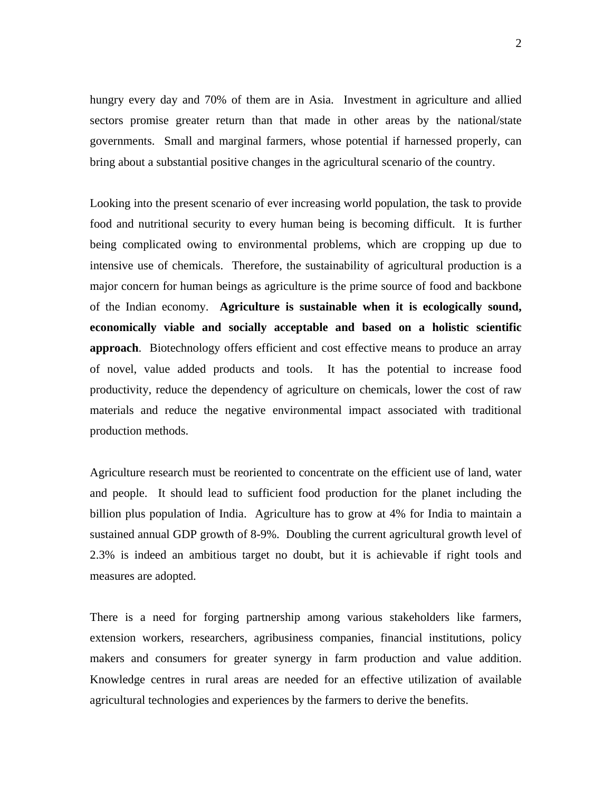hungry every day and 70% of them are in Asia. Investment in agriculture and allied sectors promise greater return than that made in other areas by the national/state governments. Small and marginal farmers, whose potential if harnessed properly, can bring about a substantial positive changes in the agricultural scenario of the country.

Looking into the present scenario of ever increasing world population, the task to provide food and nutritional security to every human being is becoming difficult. It is further being complicated owing to environmental problems, which are cropping up due to intensive use of chemicals. Therefore, the sustainability of agricultural production is a major concern for human beings as agriculture is the prime source of food and backbone of the Indian economy. **Agriculture is sustainable when it is ecologically sound, economically viable and socially acceptable and based on a holistic scientific approach**. Biotechnology offers efficient and cost effective means to produce an array of novel, value added products and tools. It has the potential to increase food productivity, reduce the dependency of agriculture on chemicals, lower the cost of raw materials and reduce the negative environmental impact associated with traditional production methods.

Agriculture research must be reoriented to concentrate on the efficient use of land, water and people. It should lead to sufficient food production for the planet including the billion plus population of India. Agriculture has to grow at 4% for India to maintain a sustained annual GDP growth of 8-9%. Doubling the current agricultural growth level of 2.3% is indeed an ambitious target no doubt, but it is achievable if right tools and measures are adopted.

There is a need for forging partnership among various stakeholders like farmers, extension workers, researchers, agribusiness companies, financial institutions, policy makers and consumers for greater synergy in farm production and value addition. Knowledge centres in rural areas are needed for an effective utilization of available agricultural technologies and experiences by the farmers to derive the benefits.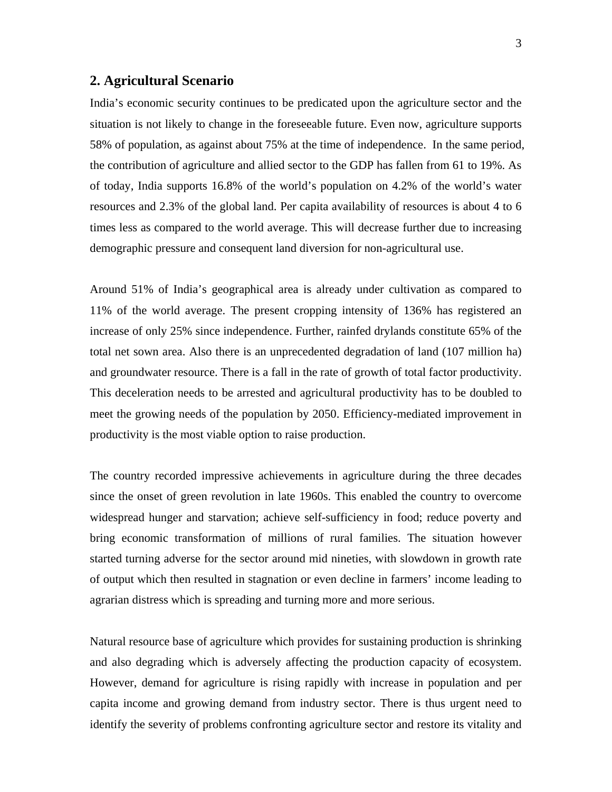# **2. Agricultural Scenario**

India's economic security continues to be predicated upon the agriculture sector and the situation is not likely to change in the foreseeable future. Even now, agriculture supports 58% of population, as against about 75% at the time of independence. In the same period, the contribution of agriculture and allied sector to the GDP has fallen from 61 to 19%. As of today, India supports 16.8% of the world's population on 4.2% of the world's water resources and 2.3% of the global land. Per capita availability of resources is about 4 to 6 times less as compared to the world average. This will decrease further due to increasing demographic pressure and consequent land diversion for non-agricultural use.

Around 51% of India's geographical area is already under cultivation as compared to 11% of the world average. The present cropping intensity of 136% has registered an increase of only 25% since independence. Further, rainfed drylands constitute 65% of the total net sown area. Also there is an unprecedented degradation of land (107 million ha) and groundwater resource. There is a fall in the rate of growth of total factor productivity. This deceleration needs to be arrested and agricultural productivity has to be doubled to meet the growing needs of the population by 2050. Efficiency-mediated improvement in productivity is the most viable option to raise production.

The country recorded impressive achievements in agriculture during the three decades since the onset of green revolution in late 1960s. This enabled the country to overcome widespread hunger and starvation; achieve self-sufficiency in food; reduce poverty and bring economic transformation of millions of rural families. The situation however started turning adverse for the sector around mid nineties, with slowdown in growth rate of output which then resulted in stagnation or even decline in farmers' income leading to agrarian distress which is spreading and turning more and more serious.

Natural resource base of agriculture which provides for sustaining production is shrinking and also degrading which is adversely affecting the production capacity of ecosystem. However, demand for agriculture is rising rapidly with increase in population and per capita income and growing demand from industry sector. There is thus urgent need to identify the severity of problems confronting agriculture sector and restore its vitality and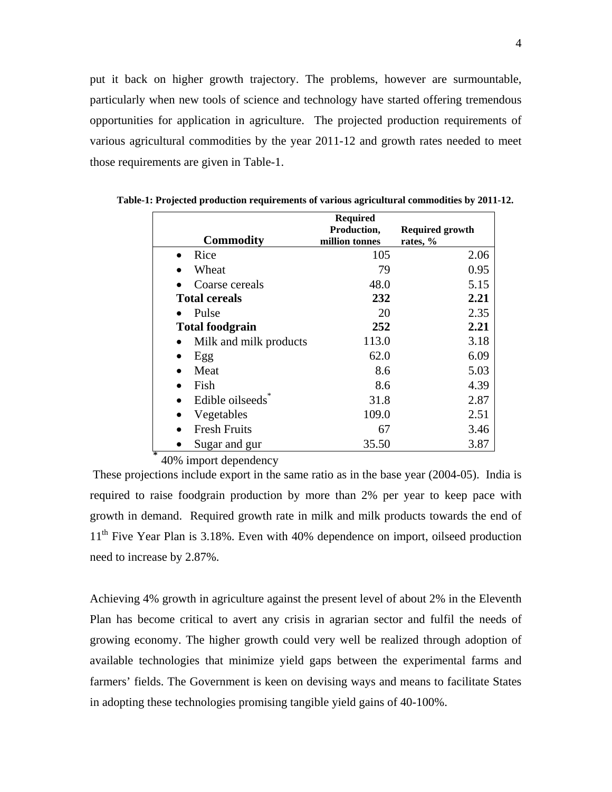put it back on higher growth trajectory. The problems, however are surmountable, particularly when new tools of science and technology have started offering tremendous opportunities for application in agriculture. The projected production requirements of various agricultural commodities by the year 2011-12 and growth rates needed to meet those requirements are given in Table-1.

| <b>Commodity</b>       | <b>Required</b><br>Production,<br>million tonnes | <b>Required growth</b><br>rates, % |
|------------------------|--------------------------------------------------|------------------------------------|
| Rice<br>$\bullet$      | 105                                              | 2.06                               |
| Wheat                  | 79                                               | 0.95                               |
| Coarse cereals         | 48.0                                             | 5.15                               |
| <b>Total cereals</b>   | 232                                              | 2.21                               |
| Pulse                  | 20                                               | 2.35                               |
| <b>Total foodgrain</b> | 252                                              | 2.21                               |
| Milk and milk products | 113.0                                            | 3.18                               |
| Egg                    | 62.0                                             | 6.09                               |
| Meat                   | 8.6                                              | 5.03                               |
| Fish                   | 8.6                                              | 4.39                               |
| Edible oilseeds*       | 31.8                                             | 2.87                               |
| Vegetables             | 109.0                                            | 2.51                               |
| <b>Fresh Fruits</b>    | 67                                               | 3.46                               |
| Sugar and gur<br>k     | 35.50                                            | 3.87                               |

**Table-1: Projected production requirements of various agricultural commodities by 2011-12.** 

 **\*** 40% import dependency

 These projections include export in the same ratio as in the base year (2004-05). India is required to raise foodgrain production by more than 2% per year to keep pace with growth in demand. Required growth rate in milk and milk products towards the end of 11<sup>th</sup> Five Year Plan is 3.18%. Even with 40% dependence on import, oilseed production need to increase by 2.87%.

Achieving 4% growth in agriculture against the present level of about 2% in the Eleventh Plan has become critical to avert any crisis in agrarian sector and fulfil the needs of growing economy. The higher growth could very well be realized through adoption of available technologies that minimize yield gaps between the experimental farms and farmers' fields. The Government is keen on devising ways and means to facilitate States in adopting these technologies promising tangible yield gains of 40-100%.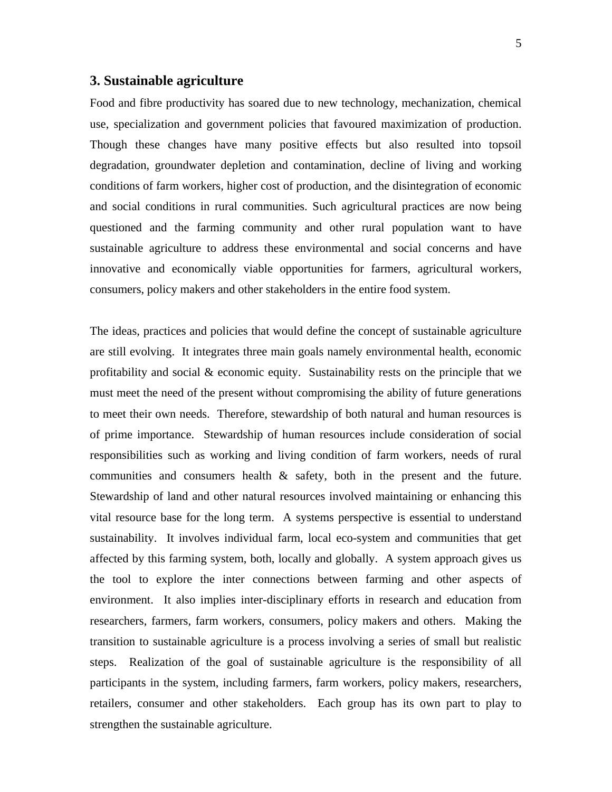# **3. Sustainable agriculture**

Food and fibre productivity has soared due to new technology, mechanization, chemical use, specialization and government policies that favoured maximization of production. Though these changes have many positive effects but also resulted into topsoil degradation, groundwater depletion and contamination, decline of living and working conditions of farm workers, higher cost of production, and the disintegration of economic and social conditions in rural communities. Such agricultural practices are now being questioned and the farming community and other rural population want to have sustainable agriculture to address these environmental and social concerns and have innovative and economically viable opportunities for farmers, agricultural workers, consumers, policy makers and other stakeholders in the entire food system.

The ideas, practices and policies that would define the concept of sustainable agriculture are still evolving. It integrates three main goals namely environmental health, economic profitability and social & economic equity. Sustainability rests on the principle that we must meet the need of the present without compromising the ability of future generations to meet their own needs. Therefore, stewardship of both natural and human resources is of prime importance. Stewardship of human resources include consideration of social responsibilities such as working and living condition of farm workers, needs of rural communities and consumers health & safety, both in the present and the future. Stewardship of land and other natural resources involved maintaining or enhancing this vital resource base for the long term. A systems perspective is essential to understand sustainability. It involves individual farm, local eco-system and communities that get affected by this farming system, both, locally and globally. A system approach gives us the tool to explore the inter connections between farming and other aspects of environment. It also implies inter-disciplinary efforts in research and education from researchers, farmers, farm workers, consumers, policy makers and others. Making the transition to sustainable agriculture is a process involving a series of small but realistic steps. Realization of the goal of sustainable agriculture is the responsibility of all participants in the system, including farmers, farm workers, policy makers, researchers, retailers, consumer and other stakeholders. Each group has its own part to play to strengthen the sustainable agriculture.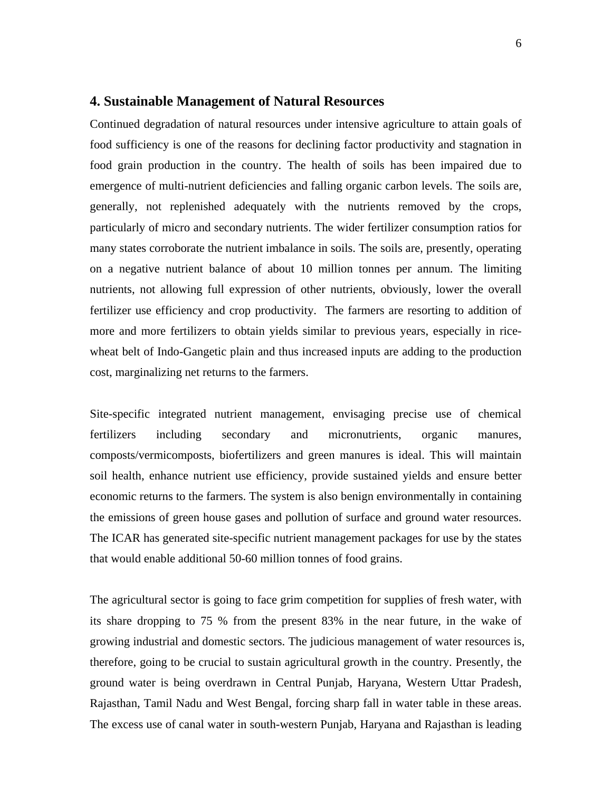## **4. Sustainable Management of Natural Resources**

Continued degradation of natural resources under intensive agriculture to attain goals of food sufficiency is one of the reasons for declining factor productivity and stagnation in food grain production in the country. The health of soils has been impaired due to emergence of multi-nutrient deficiencies and falling organic carbon levels. The soils are, generally, not replenished adequately with the nutrients removed by the crops, particularly of micro and secondary nutrients. The wider fertilizer consumption ratios for many states corroborate the nutrient imbalance in soils. The soils are, presently, operating on a negative nutrient balance of about 10 million tonnes per annum. The limiting nutrients, not allowing full expression of other nutrients, obviously, lower the overall fertilizer use efficiency and crop productivity. The farmers are resorting to addition of more and more fertilizers to obtain yields similar to previous years, especially in ricewheat belt of Indo-Gangetic plain and thus increased inputs are adding to the production cost, marginalizing net returns to the farmers.

Site-specific integrated nutrient management, envisaging precise use of chemical fertilizers including secondary and micronutrients, organic manures, composts/vermicomposts, biofertilizers and green manures is ideal. This will maintain soil health, enhance nutrient use efficiency, provide sustained yields and ensure better economic returns to the farmers. The system is also benign environmentally in containing the emissions of green house gases and pollution of surface and ground water resources. The ICAR has generated site-specific nutrient management packages for use by the states that would enable additional 50-60 million tonnes of food grains.

The agricultural sector is going to face grim competition for supplies of fresh water, with its share dropping to 75 % from the present 83% in the near future, in the wake of growing industrial and domestic sectors. The judicious management of water resources is, therefore, going to be crucial to sustain agricultural growth in the country. Presently, the ground water is being overdrawn in Central Punjab, Haryana, Western Uttar Pradesh, Rajasthan, Tamil Nadu and West Bengal, forcing sharp fall in water table in these areas. The excess use of canal water in south-western Punjab, Haryana and Rajasthan is leading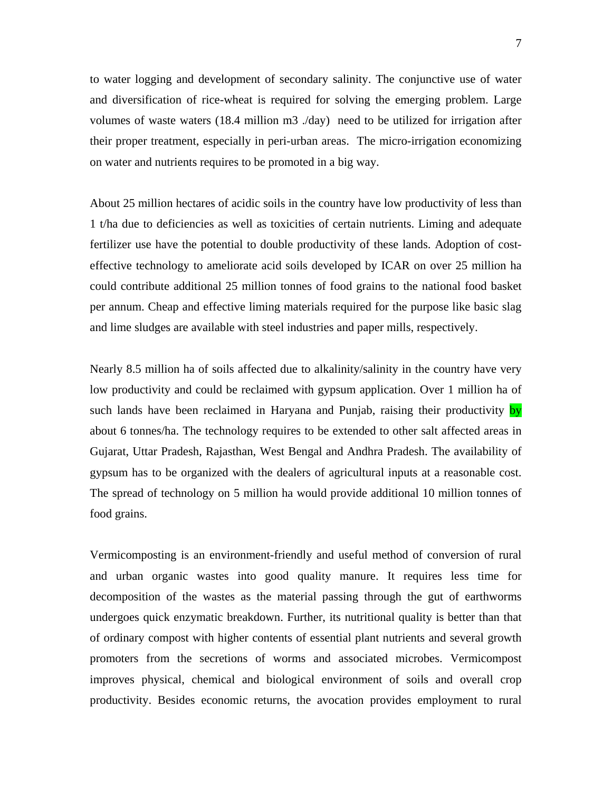to water logging and development of secondary salinity. The conjunctive use of water and diversification of rice-wheat is required for solving the emerging problem. Large volumes of waste waters (18.4 million m3 ./day) need to be utilized for irrigation after their proper treatment, especially in peri-urban areas. The micro-irrigation economizing on water and nutrients requires to be promoted in a big way.

About 25 million hectares of acidic soils in the country have low productivity of less than 1 t/ha due to deficiencies as well as toxicities of certain nutrients. Liming and adequate fertilizer use have the potential to double productivity of these lands. Adoption of costeffective technology to ameliorate acid soils developed by ICAR on over 25 million ha could contribute additional 25 million tonnes of food grains to the national food basket per annum. Cheap and effective liming materials required for the purpose like basic slag and lime sludges are available with steel industries and paper mills, respectively.

Nearly 8.5 million ha of soils affected due to alkalinity/salinity in the country have very low productivity and could be reclaimed with gypsum application. Over 1 million ha of such lands have been reclaimed in Haryana and Punjab, raising their productivity by about 6 tonnes/ha. The technology requires to be extended to other salt affected areas in Gujarat, Uttar Pradesh, Rajasthan, West Bengal and Andhra Pradesh. The availability of gypsum has to be organized with the dealers of agricultural inputs at a reasonable cost. The spread of technology on 5 million ha would provide additional 10 million tonnes of food grains.

Vermicomposting is an environment-friendly and useful method of conversion of rural and urban organic wastes into good quality manure. It requires less time for decomposition of the wastes as the material passing through the gut of earthworms undergoes quick enzymatic breakdown. Further, its nutritional quality is better than that of ordinary compost with higher contents of essential plant nutrients and several growth promoters from the secretions of worms and associated microbes. Vermicompost improves physical, chemical and biological environment of soils and overall crop productivity. Besides economic returns, the avocation provides employment to rural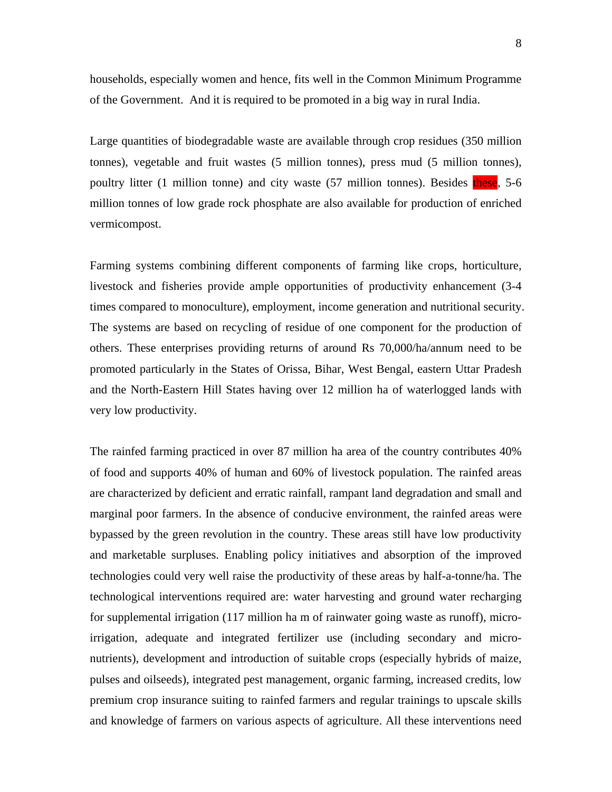households, especially women and hence, fits well in the Common Minimum Programme of the Government. And it is required to be promoted in a big way in rural India.

Large quantities of biodegradable waste are available through crop residues (350 million tonnes), vegetable and fruit wastes (5 million tonnes), press mud (5 million tonnes), poultry litter (1 million tonne) and city waste (57 million tonnes). Besides these, 5-6 million tonnes of low grade rock phosphate are also available for production of enriched vermicompost.

Farming systems combining different components of farming like crops, horticulture, livestock and fisheries provide ample opportunities of productivity enhancement (3-4 times compared to monoculture), employment, income generation and nutritional security. The systems are based on recycling of residue of one component for the production of others. These enterprises providing returns of around Rs 70,000/ha/annum need to be promoted particularly in the States of Orissa, Bihar, West Bengal, eastern Uttar Pradesh and the North-Eastern Hill States having over 12 million ha of waterlogged lands with very low productivity.

The rainfed farming practiced in over 87 million ha area of the country contributes 40% of food and supports 40% of human and 60% of livestock population. The rainfed areas are characterized by deficient and erratic rainfall, rampant land degradation and small and marginal poor farmers. In the absence of conducive environment, the rainfed areas were bypassed by the green revolution in the country. These areas still have low productivity and marketable surpluses. Enabling policy initiatives and absorption of the improved technologies could very well raise the productivity of these areas by half-a-tonne/ha. The technological interventions required are: water harvesting and ground water recharging for supplemental irrigation (117 million ha m of rainwater going waste as runoff), microirrigation, adequate and integrated fertilizer use (including secondary and micronutrients), development and introduction of suitable crops (especially hybrids of maize, pulses and oilseeds), integrated pest management, organic farming, increased credits, low premium crop insurance suiting to rainfed farmers and regular trainings to upscale skills and knowledge of farmers on various aspects of agriculture. All these interventions need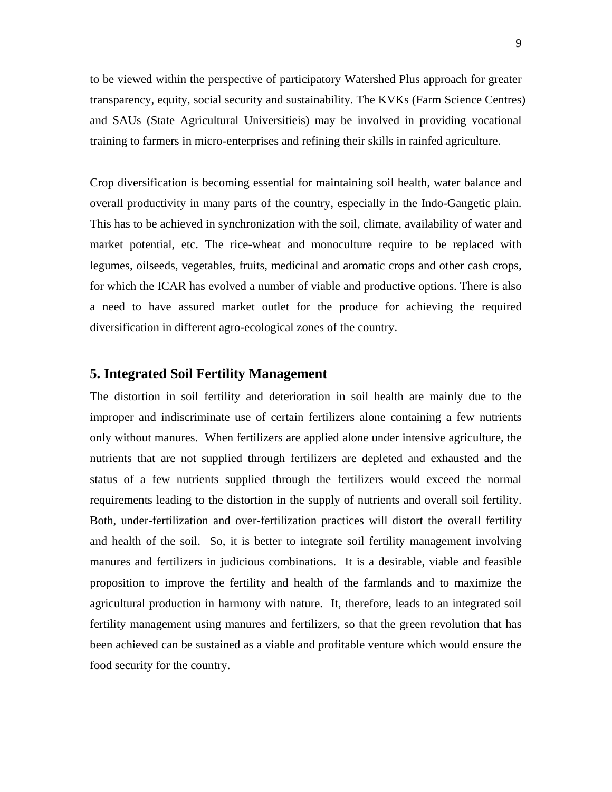to be viewed within the perspective of participatory Watershed Plus approach for greater transparency, equity, social security and sustainability. The KVKs (Farm Science Centres) and SAUs (State Agricultural Universitieis) may be involved in providing vocational training to farmers in micro-enterprises and refining their skills in rainfed agriculture.

Crop diversification is becoming essential for maintaining soil health, water balance and overall productivity in many parts of the country, especially in the Indo-Gangetic plain. This has to be achieved in synchronization with the soil, climate, availability of water and market potential, etc. The rice-wheat and monoculture require to be replaced with legumes, oilseeds, vegetables, fruits, medicinal and aromatic crops and other cash crops, for which the ICAR has evolved a number of viable and productive options. There is also a need to have assured market outlet for the produce for achieving the required diversification in different agro-ecological zones of the country.

# **5. Integrated Soil Fertility Management**

The distortion in soil fertility and deterioration in soil health are mainly due to the improper and indiscriminate use of certain fertilizers alone containing a few nutrients only without manures. When fertilizers are applied alone under intensive agriculture, the nutrients that are not supplied through fertilizers are depleted and exhausted and the status of a few nutrients supplied through the fertilizers would exceed the normal requirements leading to the distortion in the supply of nutrients and overall soil fertility. Both, under-fertilization and over-fertilization practices will distort the overall fertility and health of the soil. So, it is better to integrate soil fertility management involving manures and fertilizers in judicious combinations. It is a desirable, viable and feasible proposition to improve the fertility and health of the farmlands and to maximize the agricultural production in harmony with nature. It, therefore, leads to an integrated soil fertility management using manures and fertilizers, so that the green revolution that has been achieved can be sustained as a viable and profitable venture which would ensure the food security for the country.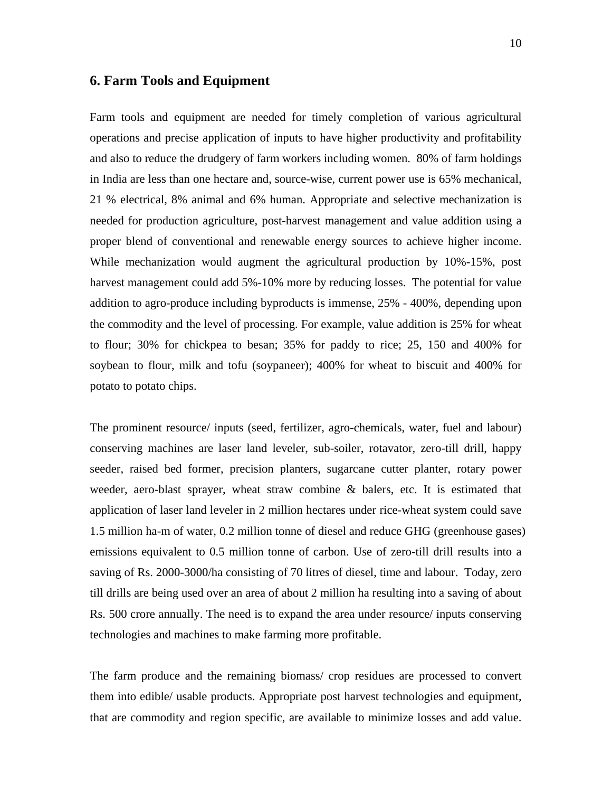# **6. Farm Tools and Equipment**

Farm tools and equipment are needed for timely completion of various agricultural operations and precise application of inputs to have higher productivity and profitability and also to reduce the drudgery of farm workers including women. 80% of farm holdings in India are less than one hectare and, source-wise, current power use is 65% mechanical, 21 % electrical, 8% animal and 6% human. Appropriate and selective mechanization is needed for production agriculture, post-harvest management and value addition using a proper blend of conventional and renewable energy sources to achieve higher income. While mechanization would augment the agricultural production by 10%-15%, post harvest management could add 5%-10% more by reducing losses. The potential for value addition to agro-produce including byproducts is immense, 25% - 400%, depending upon the commodity and the level of processing. For example, value addition is 25% for wheat to flour; 30% for chickpea to besan; 35% for paddy to rice; 25, 150 and 400% for soybean to flour, milk and tofu (soypaneer); 400% for wheat to biscuit and 400% for potato to potato chips.

The prominent resource/ inputs (seed, fertilizer, agro-chemicals, water, fuel and labour) conserving machines are laser land leveler, sub-soiler, rotavator, zero-till drill, happy seeder, raised bed former, precision planters, sugarcane cutter planter, rotary power weeder, aero-blast sprayer, wheat straw combine & balers, etc. It is estimated that application of laser land leveler in 2 million hectares under rice-wheat system could save 1.5 million ha-m of water, 0.2 million tonne of diesel and reduce GHG (greenhouse gases) emissions equivalent to 0.5 million tonne of carbon. Use of zero-till drill results into a saving of Rs. 2000-3000/ha consisting of 70 litres of diesel, time and labour. Today, zero till drills are being used over an area of about 2 million ha resulting into a saving of about Rs. 500 crore annually. The need is to expand the area under resource/ inputs conserving technologies and machines to make farming more profitable.

The farm produce and the remaining biomass/ crop residues are processed to convert them into edible/ usable products. Appropriate post harvest technologies and equipment, that are commodity and region specific, are available to minimize losses and add value.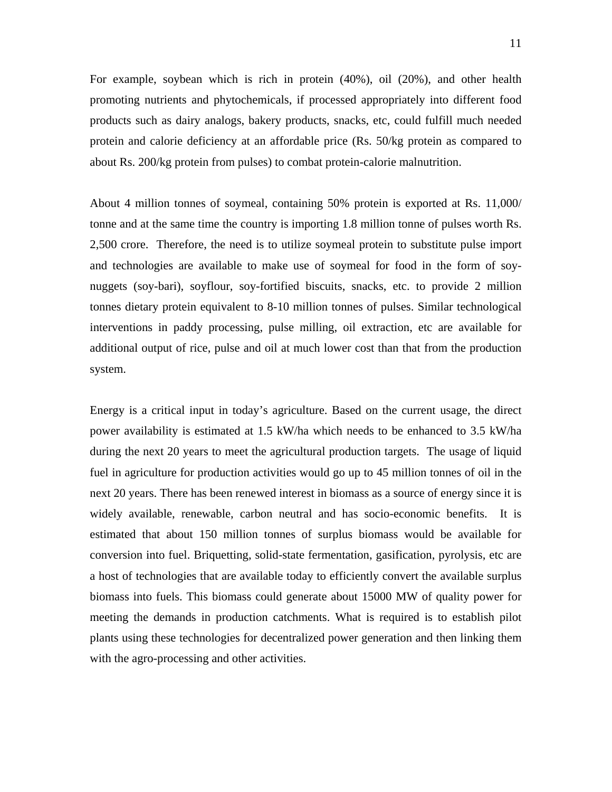For example, soybean which is rich in protein (40%), oil (20%), and other health promoting nutrients and phytochemicals, if processed appropriately into different food products such as dairy analogs, bakery products, snacks, etc, could fulfill much needed protein and calorie deficiency at an affordable price (Rs. 50/kg protein as compared to about Rs. 200/kg protein from pulses) to combat protein-calorie malnutrition.

About 4 million tonnes of soymeal, containing 50% protein is exported at Rs. 11,000/ tonne and at the same time the country is importing 1.8 million tonne of pulses worth Rs. 2,500 crore. Therefore, the need is to utilize soymeal protein to substitute pulse import and technologies are available to make use of soymeal for food in the form of soynuggets (soy-bari), soyflour, soy-fortified biscuits, snacks, etc. to provide 2 million tonnes dietary protein equivalent to 8-10 million tonnes of pulses. Similar technological interventions in paddy processing, pulse milling, oil extraction, etc are available for additional output of rice, pulse and oil at much lower cost than that from the production system.

Energy is a critical input in today's agriculture. Based on the current usage, the direct power availability is estimated at 1.5 kW/ha which needs to be enhanced to 3.5 kW/ha during the next 20 years to meet the agricultural production targets. The usage of liquid fuel in agriculture for production activities would go up to 45 million tonnes of oil in the next 20 years. There has been renewed interest in biomass as a source of energy since it is widely available, renewable, carbon neutral and has socio-economic benefits. It is estimated that about 150 million tonnes of surplus biomass would be available for conversion into fuel. Briquetting, solid-state fermentation, gasification, pyrolysis, etc are a host of technologies that are available today to efficiently convert the available surplus biomass into fuels. This biomass could generate about 15000 MW of quality power for meeting the demands in production catchments. What is required is to establish pilot plants using these technologies for decentralized power generation and then linking them with the agro-processing and other activities.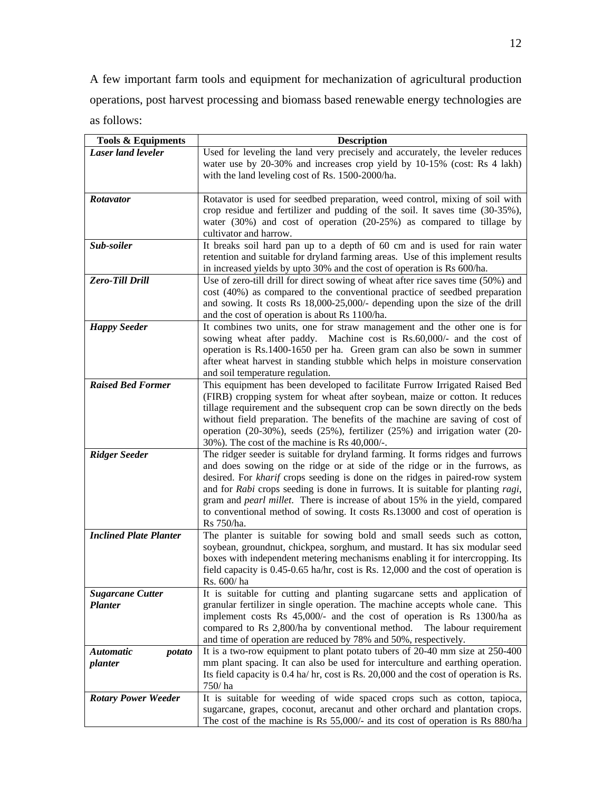A few important farm tools and equipment for mechanization of agricultural production operations, post harvest processing and biomass based renewable energy technologies are as follows:

| <b>Tools &amp; Equipments</b> | <b>Description</b>                                                                    |  |
|-------------------------------|---------------------------------------------------------------------------------------|--|
| Laser land leveler            | Used for leveling the land very precisely and accurately, the leveler reduces         |  |
|                               | water use by 20-30% and increases crop yield by 10-15% (cost: Rs 4 lakh)              |  |
|                               | with the land leveling cost of Rs. 1500-2000/ha.                                      |  |
|                               |                                                                                       |  |
| <b>Rotavator</b>              | Rotavator is used for seedbed preparation, weed control, mixing of soil with          |  |
|                               | crop residue and fertilizer and pudding of the soil. It saves time (30-35%),          |  |
|                               | water $(30%)$ and cost of operation $(20-25%)$ as compared to tillage by              |  |
|                               | cultivator and harrow.                                                                |  |
| Sub-soiler                    | It breaks soil hard pan up to a depth of 60 cm and is used for rain water             |  |
|                               | retention and suitable for dryland farming areas. Use of this implement results       |  |
|                               | in increased yields by upto 30% and the cost of operation is Rs 600/ha.               |  |
| <b>Zero-Till Drill</b>        | Use of zero-till drill for direct sowing of wheat after rice saves time (50%) and     |  |
|                               | cost (40%) as compared to the conventional practice of seedbed preparation            |  |
|                               | and sowing. It costs Rs 18,000-25,000/- depending upon the size of the drill          |  |
|                               | and the cost of operation is about Rs 1100/ha.                                        |  |
| <b>Happy Seeder</b>           | It combines two units, one for straw management and the other one is for              |  |
|                               | sowing wheat after paddy. Machine cost is Rs.60,000/- and the cost of                 |  |
|                               | operation is Rs.1400-1650 per ha. Green gram can also be sown in summer               |  |
|                               | after wheat harvest in standing stubble which helps in moisture conservation          |  |
|                               | and soil temperature regulation.                                                      |  |
| <b>Raised Bed Former</b>      | This equipment has been developed to facilitate Furrow Irrigated Raised Bed           |  |
|                               | (FIRB) cropping system for wheat after soybean, maize or cotton. It reduces           |  |
|                               | tillage requirement and the subsequent crop can be sown directly on the beds          |  |
|                               | without field preparation. The benefits of the machine are saving of cost of          |  |
|                               | operation (20-30%), seeds (25%), fertilizer (25%) and irrigation water (20-           |  |
|                               | $30\%$ ). The cost of the machine is Rs 40,000/-.                                     |  |
| <b>Ridger Seeder</b>          | The ridger seeder is suitable for dryland farming. It forms ridges and furrows        |  |
|                               | and does sowing on the ridge or at side of the ridge or in the furrows, as            |  |
|                               | desired. For kharif crops seeding is done on the ridges in paired-row system          |  |
|                               | and for Rabi crops seeding is done in furrows. It is suitable for planting ragi,      |  |
|                               | gram and <i>pearl millet</i> . There is increase of about 15% in the yield, compared  |  |
|                               | to conventional method of sowing. It costs Rs.13000 and cost of operation is          |  |
|                               | Rs 750/ha.                                                                            |  |
| <b>Inclined Plate Planter</b> | The planter is suitable for sowing bold and small seeds such as cotton,               |  |
|                               | soybean, groundnut, chickpea, sorghum, and mustard. It has six modular seed           |  |
|                               | boxes with independent metering mechanisms enabling it for intercropping. Its         |  |
|                               | field capacity is 0.45-0.65 ha/hr, cost is Rs. 12,000 and the cost of operation is    |  |
|                               | Rs. 600/ha                                                                            |  |
| <b>Sugarcane Cutter</b>       | It is suitable for cutting and planting sugarcane setts and application of            |  |
| <b>Planter</b>                | granular fertilizer in single operation. The machine accepts whole cane. This         |  |
|                               | implement costs Rs 45,000/- and the cost of operation is Rs 1300/ha as                |  |
|                               | compared to Rs 2,800/ha by conventional method. The labour requirement                |  |
|                               | and time of operation are reduced by 78% and 50%, respectively.                       |  |
| <b>Automatic</b><br>potato    | It is a two-row equipment to plant potato tubers of 20-40 mm size at 250-400          |  |
| planter                       | mm plant spacing. It can also be used for interculture and earthing operation.        |  |
|                               | Its field capacity is 0.4 ha/ hr, cost is Rs. 20,000 and the cost of operation is Rs. |  |
|                               | 750/ha                                                                                |  |
| <b>Rotary Power Weeder</b>    | It is suitable for weeding of wide spaced crops such as cotton, tapioca,              |  |
|                               | sugarcane, grapes, coconut, arecanut and other orchard and plantation crops.          |  |
|                               | The cost of the machine is Rs 55,000/- and its cost of operation is Rs 880/ha         |  |
|                               |                                                                                       |  |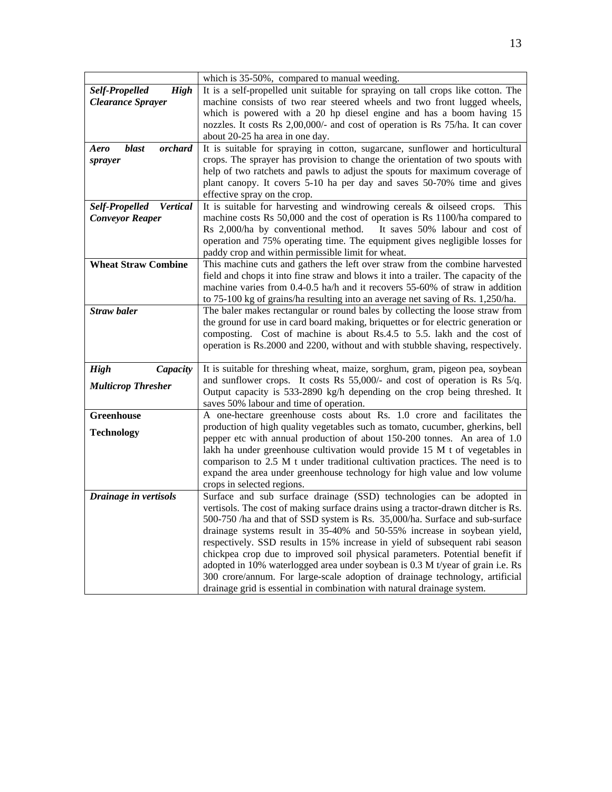|                                   | which is 35-50%, compared to manual weeding.                                        |
|-----------------------------------|-------------------------------------------------------------------------------------|
| Self-Propelled<br><b>High</b>     | It is a self-propelled unit suitable for spraying on tall crops like cotton. The    |
| <b>Clearance Sprayer</b>          | machine consists of two rear steered wheels and two front lugged wheels,            |
|                                   | which is powered with a 20 hp diesel engine and has a boom having 15                |
|                                   | nozzles. It costs Rs 2,00,000/- and cost of operation is Rs 75/ha. It can cover     |
|                                   | about 20-25 ha area in one day.                                                     |
| blast<br>orchard<br>Aero          | It is suitable for spraying in cotton, sugarcane, sunflower and horticultural       |
| sprayer                           | crops. The sprayer has provision to change the orientation of two spouts with       |
|                                   | help of two ratchets and pawls to adjust the spouts for maximum coverage of         |
|                                   | plant canopy. It covers 5-10 ha per day and saves 50-70% time and gives             |
|                                   | effective spray on the crop.                                                        |
| Self-Propelled<br><b>Vertical</b> | It is suitable for harvesting and windrowing cereals $\&$ oilseed crops. This       |
| <b>Conveyor Reaper</b>            | machine costs Rs 50,000 and the cost of operation is Rs 1100/ha compared to         |
|                                   | Rs 2,000/ha by conventional method.<br>It saves 50% labour and cost of              |
|                                   | operation and 75% operating time. The equipment gives negligible losses for         |
|                                   | paddy crop and within permissible limit for wheat.                                  |
| <b>Wheat Straw Combine</b>        | This machine cuts and gathers the left over straw from the combine harvested        |
|                                   | field and chops it into fine straw and blows it into a trailer. The capacity of the |
|                                   | machine varies from 0.4-0.5 ha/h and it recovers 55-60% of straw in addition        |
|                                   | to 75-100 kg of grains/ha resulting into an average net saving of Rs. 1,250/ha.     |
| <b>Straw</b> baler                | The baler makes rectangular or round bales by collecting the loose straw from       |
|                                   | the ground for use in card board making, briquettes or for electric generation or   |
|                                   | composting. Cost of machine is about Rs.4.5 to 5.5. lakh and the cost of            |
|                                   | operation is Rs.2000 and 2200, without and with stubble shaving, respectively.      |
|                                   |                                                                                     |
| <b>High</b><br>Capacity           | It is suitable for threshing wheat, maize, sorghum, gram, pigeon pea, soybean       |
|                                   | and sunflower crops. It costs Rs $55,000/4$ and cost of operation is Rs $5/q$ .     |
| <b>Multicrop Thresher</b>         | Output capacity is 533-2890 kg/h depending on the crop being threshed. It           |
|                                   | saves 50% labour and time of operation.                                             |
| <b>Greenhouse</b>                 | A one-hectare greenhouse costs about Rs. 1.0 crore and facilitates the              |
|                                   | production of high quality vegetables such as tomato, cucumber, gherkins, bell      |
| <b>Technology</b>                 |                                                                                     |
|                                   | pepper etc with annual production of about 150-200 tonnes. An area of 1.0           |
|                                   | lakh ha under greenhouse cultivation would provide 15 M t of vegetables in          |
|                                   | comparison to 2.5 M t under traditional cultivation practices. The need is to       |
|                                   | expand the area under greenhouse technology for high value and low volume           |
|                                   | crops in selected regions.                                                          |
| Drainage in vertisols             | Surface and sub surface drainage (SSD) technologies can be adopted in               |
|                                   | vertisols. The cost of making surface drains using a tractor-drawn ditcher is Rs.   |
|                                   | 500-750 /ha and that of SSD system is Rs. 35,000/ha. Surface and sub-surface        |
|                                   | drainage systems result in 35-40% and 50-55% increase in soybean yield,             |
|                                   | respectively. SSD results in 15% increase in yield of subsequent rabi season        |
|                                   | chickpea crop due to improved soil physical parameters. Potential benefit if        |
|                                   |                                                                                     |
|                                   | adopted in 10% waterlogged area under soybean is 0.3 M t/year of grain i.e. Rs      |
|                                   | 300 crore/annum. For large-scale adoption of drainage technology, artificial        |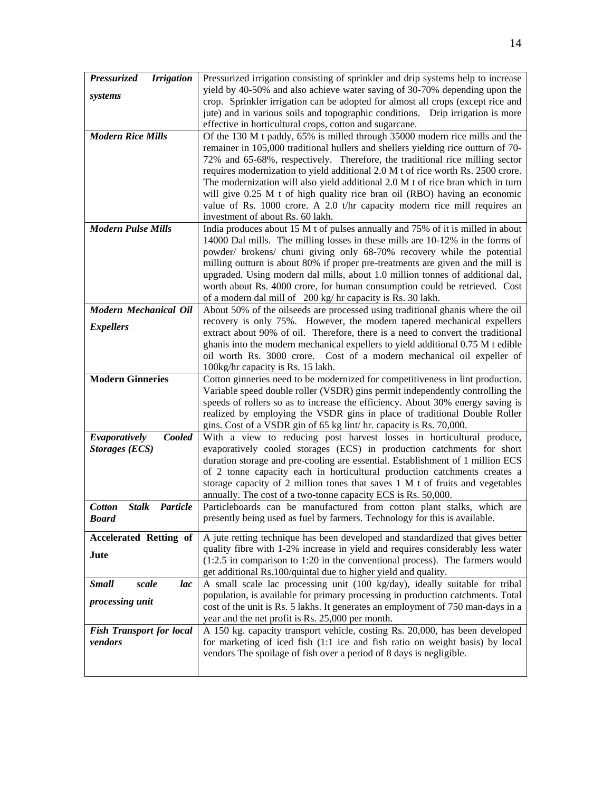| Pressurized<br><b>Irrigation</b>          | Pressurized irrigation consisting of sprinkler and drip systems help to increase  |
|-------------------------------------------|-----------------------------------------------------------------------------------|
|                                           | yield by 40-50% and also achieve water saving of 30-70% depending upon the        |
| systems                                   | crop. Sprinkler irrigation can be adopted for almost all crops (except rice and   |
|                                           | jute) and in various soils and topographic conditions. Drip irrigation is more    |
|                                           | effective in horticultural crops, cotton and sugarcane.                           |
| <b>Modern Rice Mills</b>                  | Of the 130 M t paddy, 65% is milled through 35000 modern rice mills and the       |
|                                           | remainer in 105,000 traditional hullers and shellers yielding rice outturn of 70- |
|                                           | 72% and 65-68%, respectively. Therefore, the traditional rice milling sector      |
|                                           | requires modernization to yield additional 2.0 M t of rice worth Rs. 2500 crore.  |
|                                           | The modernization will also yield additional 2.0 M t of rice bran which in turn   |
|                                           | will give 0.25 M t of high quality rice bran oil (RBO) having an economic         |
|                                           | value of Rs. 1000 crore. A 2.0 t/hr capacity modern rice mill requires an         |
|                                           | investment of about Rs. 60 lakh.                                                  |
| <b>Modern Pulse Mills</b>                 | India produces about 15 M t of pulses annually and 75% of it is milled in about   |
|                                           | 14000 Dal mills. The milling losses in these mills are 10-12% in the forms of     |
|                                           | powder/ brokens/ chuni giving only 68-70% recovery while the potential            |
|                                           | milling outturn is about 80% if proper pre-treatments are given and the mill is   |
|                                           | upgraded. Using modern dal mills, about 1.0 million tonnes of additional dal,     |
|                                           | worth about Rs. 4000 crore, for human consumption could be retrieved. Cost        |
|                                           | of a modern dal mill of 200 kg/ hr capacity is Rs. 30 lakh.                       |
| <b>Modern Mechanical Oil</b>              | About 50% of the oilseeds are processed using traditional ghanis where the oil    |
| <b>Expellers</b>                          | recovery is only 75%. However, the modern tapered mechanical expellers            |
|                                           | extract about 90% of oil. Therefore, there is a need to convert the traditional   |
|                                           | ghanis into the modern mechanical expellers to yield additional 0.75 M t edible   |
|                                           | oil worth Rs. 3000 crore. Cost of a modern mechanical oil expeller of             |
|                                           | 100kg/hr capacity is Rs. 15 lakh.                                                 |
| <b>Modern Ginneries</b>                   | Cotton ginneries need to be modernized for competitiveness in lint production.    |
|                                           | Variable speed double roller (VSDR) gins permit independently controlling the     |
|                                           |                                                                                   |
|                                           | speeds of rollers so as to increase the efficiency. About 30% energy saving is    |
|                                           | realized by employing the VSDR gins in place of traditional Double Roller         |
|                                           | gins. Cost of a VSDR gin of 65 kg lint/ hr. capacity is Rs. 70,000.               |
| Cooled<br>Evaporatively                   | With a view to reducing post harvest losses in horticultural produce,             |
| <b>Storages (ECS)</b>                     | evaporatively cooled storages (ECS) in production catchments for short            |
|                                           | duration storage and pre-cooling are essential. Establishment of 1 million ECS    |
|                                           | of 2 tonne capacity each in horticultural production catchments creates a         |
|                                           | storage capacity of 2 million tones that saves 1 M t of fruits and vegetables     |
|                                           | annually. The cost of a two-tonne capacity ECS is Rs. 50,000.                     |
| <b>Stalk</b><br>Particle<br><b>Cotton</b> | Particleboards can be manufactured from cotton plant stalks, which are            |
| Board                                     | presently being used as fuel by farmers. Technology for this is available.        |
| <b>Accelerated Retting of</b>             | A jute retting technique has been developed and standardized that gives better    |
|                                           | quality fibre with 1-2% increase in yield and requires considerably less water    |
| Jute                                      | $(1:2.5$ in comparison to 1:20 in the conventional process). The farmers would    |
|                                           | get additional Rs.100/quintal due to higher yield and quality.                    |
| scale<br><b>Small</b><br>lac              | A small scale lac processing unit (100 kg/day), ideally suitable for tribal       |
|                                           | population, is available for primary processing in production catchments. Total   |
| processing unit                           | cost of the unit is Rs. 5 lakhs. It generates an employment of 750 man-days in a  |
|                                           | year and the net profit is Rs. 25,000 per month.                                  |
| <b>Fish Transport for local</b>           | A 150 kg. capacity transport vehicle, costing Rs. 20,000, has been developed      |
| vendors                                   | for marketing of iced fish (1:1 ice and fish ratio on weight basis) by local      |
|                                           | vendors The spoilage of fish over a period of 8 days is negligible.               |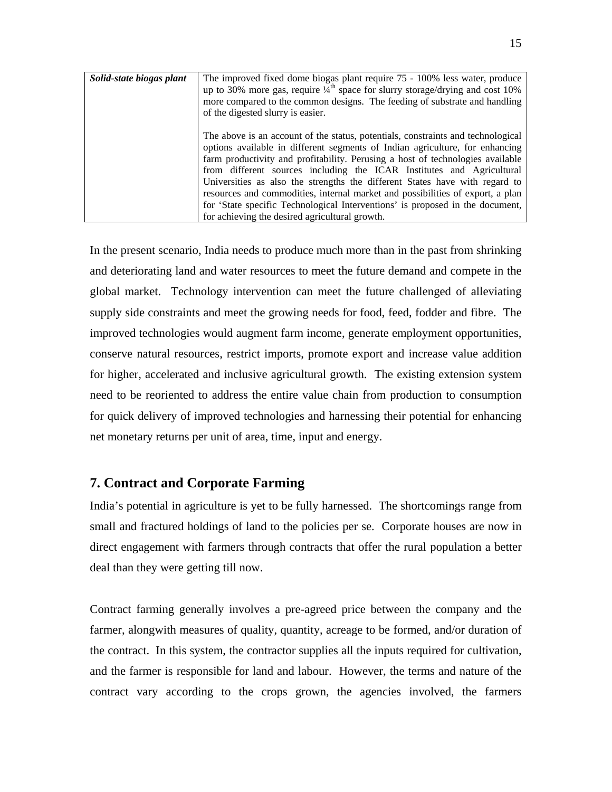| Solid-state biogas plant | The improved fixed dome biogas plant require 75 - 100% less water, produce<br>up to 30% more gas, require $\frac{1}{4}$ <sup>th</sup> space for slurry storage/drying and cost 10%<br>more compared to the common designs. The feeding of substrate and handling<br>of the digested slurry is easier.                                                                                                                                                                                                                                                                                                                           |
|--------------------------|---------------------------------------------------------------------------------------------------------------------------------------------------------------------------------------------------------------------------------------------------------------------------------------------------------------------------------------------------------------------------------------------------------------------------------------------------------------------------------------------------------------------------------------------------------------------------------------------------------------------------------|
|                          | The above is an account of the status, potentials, constraints and technological<br>options available in different segments of Indian agriculture, for enhancing<br>farm productivity and profitability. Perusing a host of technologies available<br>from different sources including the ICAR Institutes and Agricultural<br>Universities as also the strengths the different States have with regard to<br>resources and commodities, internal market and possibilities of export, a plan<br>for 'State specific Technological Interventions' is proposed in the document,<br>for achieving the desired agricultural growth. |

In the present scenario, India needs to produce much more than in the past from shrinking and deteriorating land and water resources to meet the future demand and compete in the global market. Technology intervention can meet the future challenged of alleviating supply side constraints and meet the growing needs for food, feed, fodder and fibre. The improved technologies would augment farm income, generate employment opportunities, conserve natural resources, restrict imports, promote export and increase value addition for higher, accelerated and inclusive agricultural growth. The existing extension system need to be reoriented to address the entire value chain from production to consumption for quick delivery of improved technologies and harnessing their potential for enhancing net monetary returns per unit of area, time, input and energy.

# **7. Contract and Corporate Farming**

India's potential in agriculture is yet to be fully harnessed. The shortcomings range from small and fractured holdings of land to the policies per se. Corporate houses are now in direct engagement with farmers through contracts that offer the rural population a better deal than they were getting till now.

Contract farming generally involves a pre-agreed price between the company and the farmer, alongwith measures of quality, quantity, acreage to be formed, and/or duration of the contract. In this system, the contractor supplies all the inputs required for cultivation, and the farmer is responsible for land and labour. However, the terms and nature of the contract vary according to the crops grown, the agencies involved, the farmers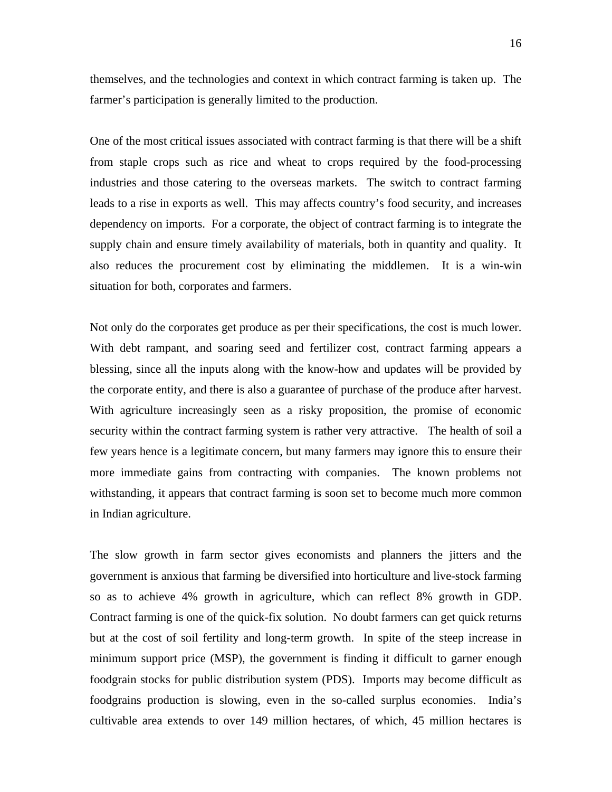themselves, and the technologies and context in which contract farming is taken up. The farmer's participation is generally limited to the production.

One of the most critical issues associated with contract farming is that there will be a shift from staple crops such as rice and wheat to crops required by the food-processing industries and those catering to the overseas markets. The switch to contract farming leads to a rise in exports as well. This may affects country's food security, and increases dependency on imports. For a corporate, the object of contract farming is to integrate the supply chain and ensure timely availability of materials, both in quantity and quality. It also reduces the procurement cost by eliminating the middlemen. It is a win-win situation for both, corporates and farmers.

Not only do the corporates get produce as per their specifications, the cost is much lower. With debt rampant, and soaring seed and fertilizer cost, contract farming appears a blessing, since all the inputs along with the know-how and updates will be provided by the corporate entity, and there is also a guarantee of purchase of the produce after harvest. With agriculture increasingly seen as a risky proposition, the promise of economic security within the contract farming system is rather very attractive. The health of soil a few years hence is a legitimate concern, but many farmers may ignore this to ensure their more immediate gains from contracting with companies. The known problems not withstanding, it appears that contract farming is soon set to become much more common in Indian agriculture.

The slow growth in farm sector gives economists and planners the jitters and the government is anxious that farming be diversified into horticulture and live-stock farming so as to achieve 4% growth in agriculture, which can reflect 8% growth in GDP. Contract farming is one of the quick-fix solution. No doubt farmers can get quick returns but at the cost of soil fertility and long-term growth. In spite of the steep increase in minimum support price (MSP), the government is finding it difficult to garner enough foodgrain stocks for public distribution system (PDS). Imports may become difficult as foodgrains production is slowing, even in the so-called surplus economies. India's cultivable area extends to over 149 million hectares, of which, 45 million hectares is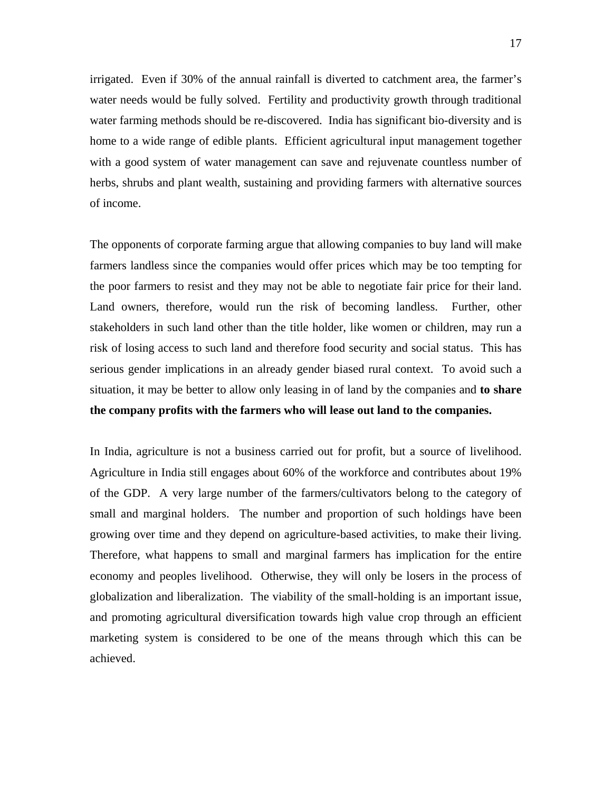irrigated. Even if 30% of the annual rainfall is diverted to catchment area, the farmer's water needs would be fully solved. Fertility and productivity growth through traditional water farming methods should be re-discovered. India has significant bio-diversity and is home to a wide range of edible plants. Efficient agricultural input management together with a good system of water management can save and rejuvenate countless number of herbs, shrubs and plant wealth, sustaining and providing farmers with alternative sources of income.

The opponents of corporate farming argue that allowing companies to buy land will make farmers landless since the companies would offer prices which may be too tempting for the poor farmers to resist and they may not be able to negotiate fair price for their land. Land owners, therefore, would run the risk of becoming landless. Further, other stakeholders in such land other than the title holder, like women or children, may run a risk of losing access to such land and therefore food security and social status. This has serious gender implications in an already gender biased rural context. To avoid such a situation, it may be better to allow only leasing in of land by the companies and **to share the company profits with the farmers who will lease out land to the companies.** 

In India, agriculture is not a business carried out for profit, but a source of livelihood. Agriculture in India still engages about 60% of the workforce and contributes about 19% of the GDP. A very large number of the farmers/cultivators belong to the category of small and marginal holders. The number and proportion of such holdings have been growing over time and they depend on agriculture-based activities, to make their living. Therefore, what happens to small and marginal farmers has implication for the entire economy and peoples livelihood. Otherwise, they will only be losers in the process of globalization and liberalization. The viability of the small-holding is an important issue, and promoting agricultural diversification towards high value crop through an efficient marketing system is considered to be one of the means through which this can be achieved.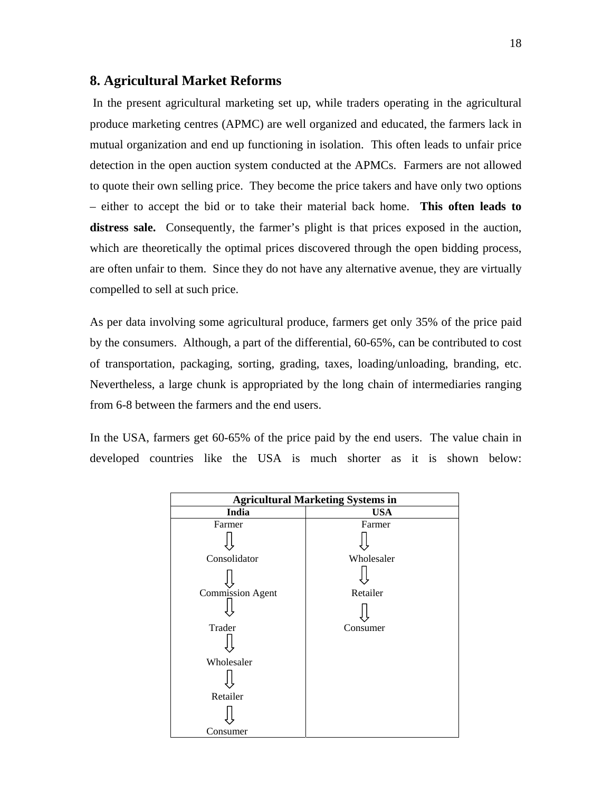# **8. Agricultural Market Reforms**

In the present agricultural marketing set up, while traders operating in the agricultural produce marketing centres (APMC) are well organized and educated, the farmers lack in mutual organization and end up functioning in isolation. This often leads to unfair price detection in the open auction system conducted at the APMCs. Farmers are not allowed to quote their own selling price. They become the price takers and have only two options – either to accept the bid or to take their material back home. **This often leads to distress sale.** Consequently, the farmer's plight is that prices exposed in the auction, which are theoretically the optimal prices discovered through the open bidding process, are often unfair to them. Since they do not have any alternative avenue, they are virtually compelled to sell at such price.

As per data involving some agricultural produce, farmers get only 35% of the price paid by the consumers. Although, a part of the differential, 60-65%, can be contributed to cost of transportation, packaging, sorting, grading, taxes, loading/unloading, branding, etc. Nevertheless, a large chunk is appropriated by the long chain of intermediaries ranging from 6-8 between the farmers and the end users.

In the USA, farmers get 60-65% of the price paid by the end users. The value chain in developed countries like the USA is much shorter as it is shown below:

| <b>Agricultural Marketing Systems in</b> |            |  |  |
|------------------------------------------|------------|--|--|
| India                                    | <b>USA</b> |  |  |
| Farmer                                   | Farmer     |  |  |
|                                          |            |  |  |
| Consolidator                             | Wholesaler |  |  |
|                                          |            |  |  |
| Commission Agent                         | Retailer   |  |  |
|                                          |            |  |  |
| Trader                                   | Consumer   |  |  |
|                                          |            |  |  |
| Wholesaler                               |            |  |  |
|                                          |            |  |  |
| Retailer                                 |            |  |  |
|                                          |            |  |  |
| Consumer                                 |            |  |  |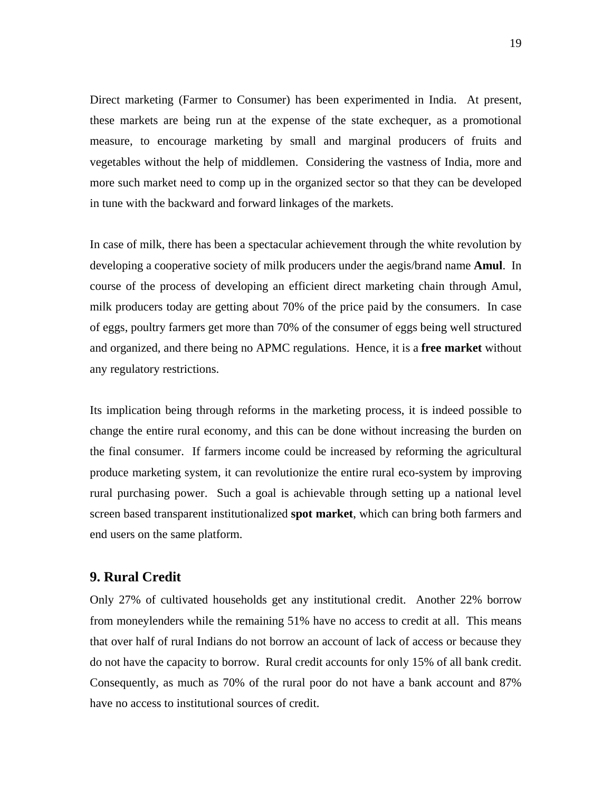Direct marketing (Farmer to Consumer) has been experimented in India. At present, these markets are being run at the expense of the state exchequer, as a promotional measure, to encourage marketing by small and marginal producers of fruits and vegetables without the help of middlemen. Considering the vastness of India, more and more such market need to comp up in the organized sector so that they can be developed in tune with the backward and forward linkages of the markets.

In case of milk, there has been a spectacular achievement through the white revolution by developing a cooperative society of milk producers under the aegis/brand name **Amul**. In course of the process of developing an efficient direct marketing chain through Amul, milk producers today are getting about 70% of the price paid by the consumers. In case of eggs, poultry farmers get more than 70% of the consumer of eggs being well structured and organized, and there being no APMC regulations. Hence, it is a **free market** without any regulatory restrictions.

Its implication being through reforms in the marketing process, it is indeed possible to change the entire rural economy, and this can be done without increasing the burden on the final consumer. If farmers income could be increased by reforming the agricultural produce marketing system, it can revolutionize the entire rural eco-system by improving rural purchasing power. Such a goal is achievable through setting up a national level screen based transparent institutionalized **spot market**, which can bring both farmers and end users on the same platform.

# **9. Rural Credit**

Only 27% of cultivated households get any institutional credit. Another 22% borrow from moneylenders while the remaining 51% have no access to credit at all. This means that over half of rural Indians do not borrow an account of lack of access or because they do not have the capacity to borrow. Rural credit accounts for only 15% of all bank credit. Consequently, as much as 70% of the rural poor do not have a bank account and 87% have no access to institutional sources of credit.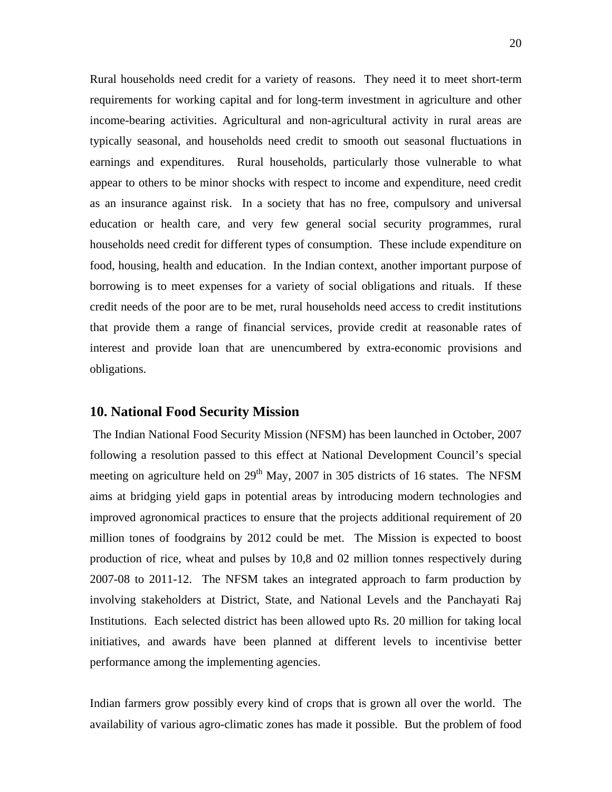Rural households need credit for a variety of reasons. They need it to meet short-term requirements for working capital and for long-term investment in agriculture and other income-bearing activities. Agricultural and non-agricultural activity in rural areas are typically seasonal, and households need credit to smooth out seasonal fluctuations in earnings and expenditures. Rural households, particularly those vulnerable to what appear to others to be minor shocks with respect to income and expenditure, need credit as an insurance against risk. In a society that has no free, compulsory and universal education or health care, and very few general social security programmes, rural households need credit for different types of consumption. These include expenditure on food, housing, health and education. In the Indian context, another important purpose of borrowing is to meet expenses for a variety of social obligations and rituals. If these credit needs of the poor are to be met, rural households need access to credit institutions that provide them a range of financial services, provide credit at reasonable rates of interest and provide loan that are unencumbered by extra-economic provisions and obligations.

### **10. National Food Security Mission**

 The Indian National Food Security Mission (NFSM) has been launched in October, 2007 following a resolution passed to this effect at National Development Council's special meeting on agriculture held on  $29<sup>th</sup>$  May, 2007 in 305 districts of 16 states. The NFSM aims at bridging yield gaps in potential areas by introducing modern technologies and improved agronomical practices to ensure that the projects additional requirement of 20 million tones of foodgrains by 2012 could be met. The Mission is expected to boost production of rice, wheat and pulses by 10,8 and 02 million tonnes respectively during 2007-08 to 2011-12. The NFSM takes an integrated approach to farm production by involving stakeholders at District, State, and National Levels and the Panchayati Raj Institutions. Each selected district has been allowed upto Rs. 20 million for taking local initiatives, and awards have been planned at different levels to incentivise better performance among the implementing agencies.

Indian farmers grow possibly every kind of crops that is grown all over the world. The availability of various agro-climatic zones has made it possible. But the problem of food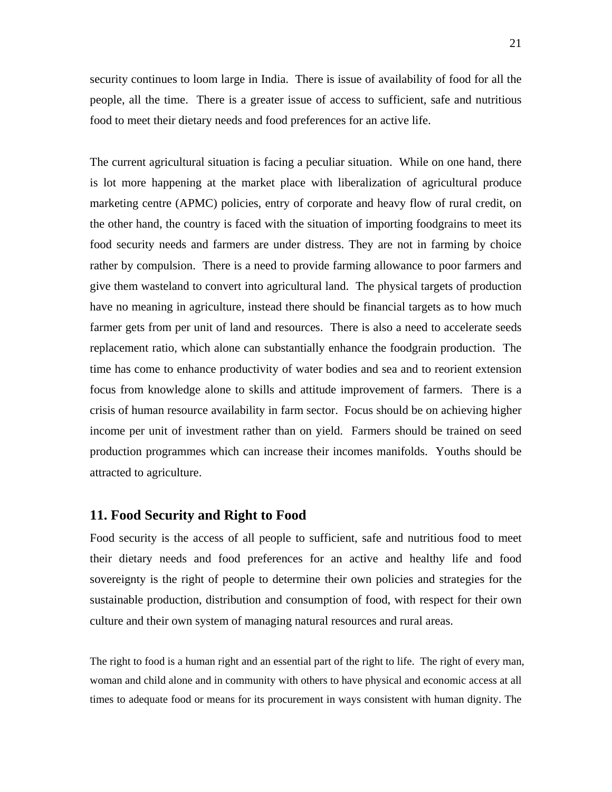security continues to loom large in India. There is issue of availability of food for all the people, all the time. There is a greater issue of access to sufficient, safe and nutritious food to meet their dietary needs and food preferences for an active life.

The current agricultural situation is facing a peculiar situation. While on one hand, there is lot more happening at the market place with liberalization of agricultural produce marketing centre (APMC) policies, entry of corporate and heavy flow of rural credit, on the other hand, the country is faced with the situation of importing foodgrains to meet its food security needs and farmers are under distress. They are not in farming by choice rather by compulsion. There is a need to provide farming allowance to poor farmers and give them wasteland to convert into agricultural land. The physical targets of production have no meaning in agriculture, instead there should be financial targets as to how much farmer gets from per unit of land and resources. There is also a need to accelerate seeds replacement ratio, which alone can substantially enhance the foodgrain production. The time has come to enhance productivity of water bodies and sea and to reorient extension focus from knowledge alone to skills and attitude improvement of farmers. There is a crisis of human resource availability in farm sector. Focus should be on achieving higher income per unit of investment rather than on yield. Farmers should be trained on seed production programmes which can increase their incomes manifolds. Youths should be attracted to agriculture.

#### **11. Food Security and Right to Food**

Food security is the access of all people to sufficient, safe and nutritious food to meet their dietary needs and food preferences for an active and healthy life and food sovereignty is the right of people to determine their own policies and strategies for the sustainable production, distribution and consumption of food, with respect for their own culture and their own system of managing natural resources and rural areas.

The right to food is a human right and an essential part of the right to life. The right of every man, woman and child alone and in community with others to have physical and economic access at all times to adequate food or means for its procurement in ways consistent with human dignity. The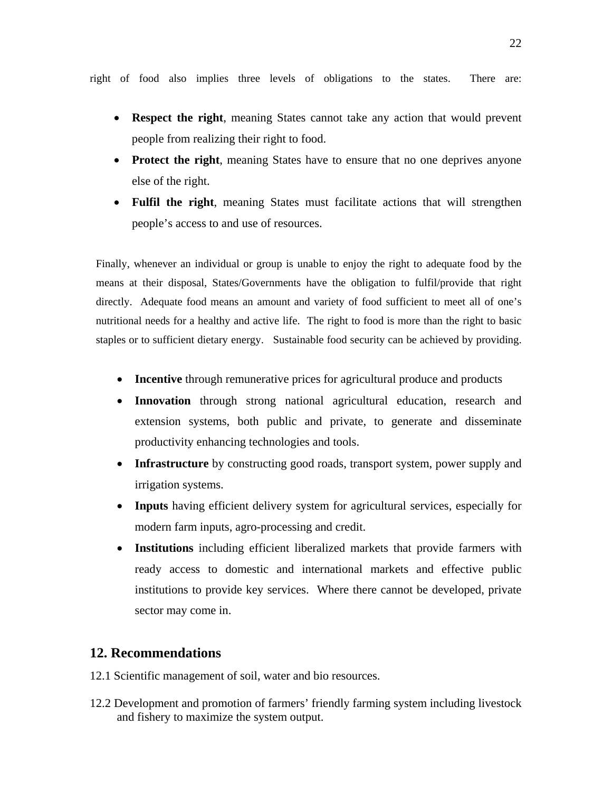right of food also implies three levels of obligations to the states. There are:

- **Respect the right**, meaning States cannot take any action that would prevent people from realizing their right to food.
- **Protect the right**, meaning States have to ensure that no one deprives anyone else of the right.
- **Fulfil the right**, meaning States must facilitate actions that will strengthen people's access to and use of resources.

Finally, whenever an individual or group is unable to enjoy the right to adequate food by the means at their disposal, States/Governments have the obligation to fulfil/provide that right directly. Adequate food means an amount and variety of food sufficient to meet all of one's nutritional needs for a healthy and active life. The right to food is more than the right to basic staples or to sufficient dietary energy. Sustainable food security can be achieved by providing.

- **Incentive** through remunerative prices for agricultural produce and products
- **Innovation** through strong national agricultural education, research and extension systems, both public and private, to generate and disseminate productivity enhancing technologies and tools.
- **Infrastructure** by constructing good roads, transport system, power supply and irrigation systems.
- **Inputs** having efficient delivery system for agricultural services, especially for modern farm inputs, agro-processing and credit.
- **Institutions** including efficient liberalized markets that provide farmers with ready access to domestic and international markets and effective public institutions to provide key services. Where there cannot be developed, private sector may come in.

# **12. Recommendations**

- 12.1 Scientific management of soil, water and bio resources.
- 12.2 Development and promotion of farmers' friendly farming system including livestock and fishery to maximize the system output.